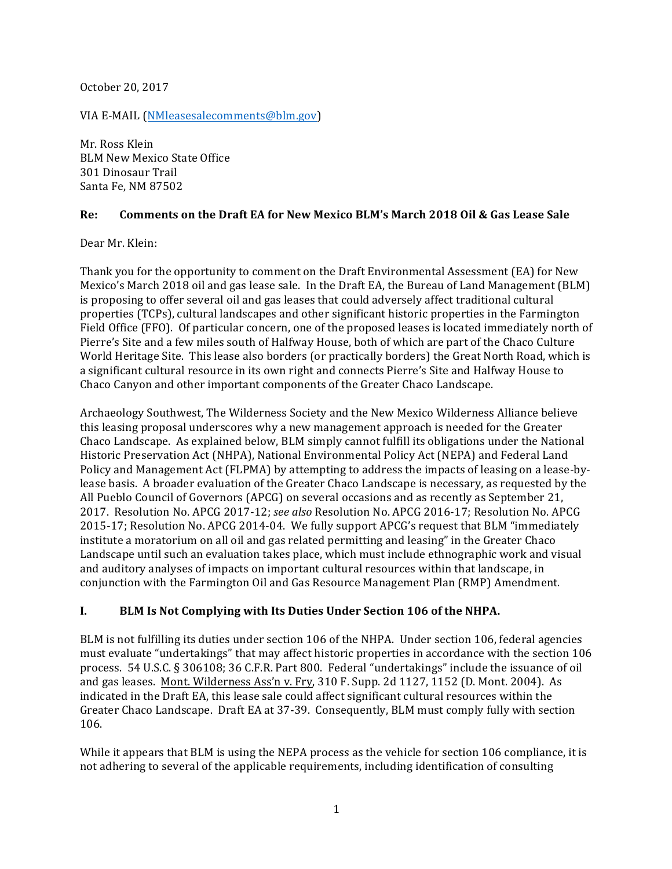October 20, 2017

VIA E-MAIL [\(NMleasesalecomments@blm.gov](https://mail.google.com/mail/?view=cm&fs=1&tf=1&to=NMleasesalecomments@blm.gov))

Mr. Ross Klein **BLM New Mexico State Office** 301 Dinosaur Trail Santa Fe, NM 87502

#### **Re: Comments on the Draft EA for New Mexico BLM's March 2018 Oil & Gas Lease Sale**

Dear Mr. Klein:

Thank you for the opportunity to comment on the Draft Environmental Assessment (EA) for New Mexico's March 2018 oil and gas lease sale. In the Draft EA, the Bureau of Land Management (BLM) is proposing to offer several oil and gas leases that could adversely affect traditional cultural properties (TCPs), cultural landscapes and other significant historic properties in the Farmington Field Office (FFO). Of particular concern, one of the proposed leases is located immediately north of Pierre's Site and a few miles south of Halfway House, both of which are part of the Chaco Culture World Heritage Site. This lease also borders (or practically borders) the Great North Road, which is a significant cultural resource in its own right and connects Pierre's Site and Halfway House to Chaco Canyon and other important components of the Greater Chaco Landscape.

Archaeology Southwest, The Wilderness Society and the New Mexico Wilderness Alliance believe this leasing proposal underscores why a new management approach is needed for the Greater Chaco Landscape. As explained below, BLM simply cannot fulfill its obligations under the National Historic Preservation Act (NHPA), National Environmental Policy Act (NEPA) and Federal Land Policy and Management Act (FLPMA) by attempting to address the impacts of leasing on a lease-bylease basis. A broader evaluation of the Greater Chaco Landscape is necessary, as requested by the All Pueblo Council of Governors (APCG) on several occasions and as recently as September 21, 2017. Resolution No. APCG 2017-12; see also Resolution No. APCG 2016-17; Resolution No. APCG 2015-17; Resolution No. APCG 2014-04. We fully support APCG's request that BLM "immediately institute a moratorium on all oil and gas related permitting and leasing" in the Greater Chaco Landscape until such an evaluation takes place, which must include ethnographic work and visual and auditory analyses of impacts on important cultural resources within that landscape, in conjunction with the Farmington Oil and Gas Resource Management Plan (RMP) Amendment.

#### I. **BLM** Is Not Complying with Its Duties Under Section 106 of the NHPA.

BLM is not fulfilling its duties under section 106 of the NHPA. Under section 106, federal agencies must evaluate "undertakings" that may affect historic properties in accordance with the section 106 process. 54 U.S.C. § 306108; 36 C.F.R. Part 800. Federal "undertakings" include the issuance of oil and gas leases. Mont. Wilderness Ass'n v. Fry, 310 F. Supp. 2d 1127, 1152 (D. Mont. 2004). As indicated in the Draft EA, this lease sale could affect significant cultural resources within the Greater Chaco Landscape. Draft EA at 37-39. Consequently, BLM must comply fully with section 106.

While it appears that BLM is using the NEPA process as the vehicle for section 106 compliance, it is not adhering to several of the applicable requirements, including identification of consulting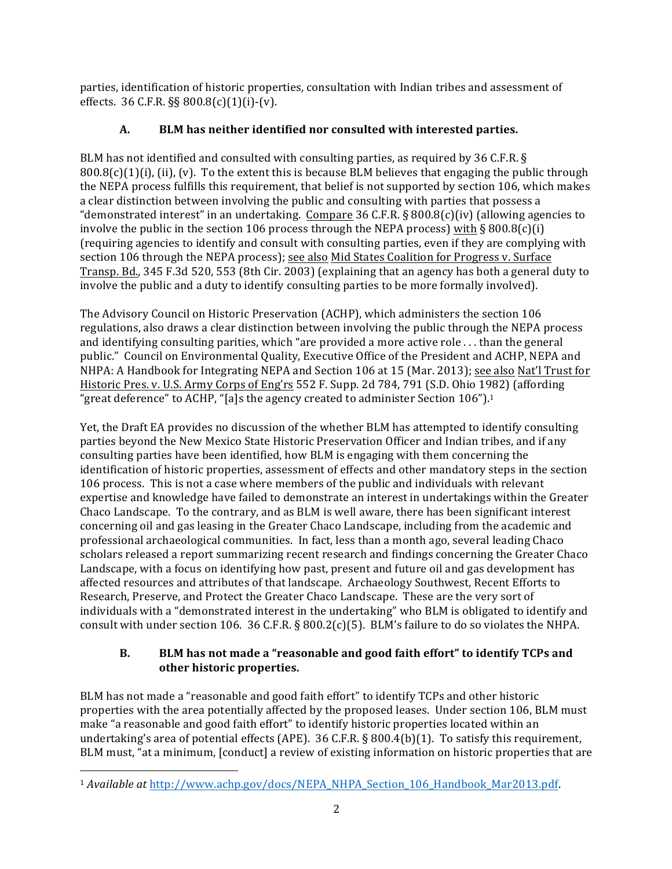parties, identification of historic properties, consultation with Indian tribes and assessment of effects.  $36$  C.F.R.  $\S$ §  $800.8(c)(1)(i)-(v)$ .

# A. BLM has neither identified nor consulted with interested parties.

BLM has not identified and consulted with consulting parties, as required by 36 C.F.R. §  $800.8(c)(1)(i)$ , (ii), (v). To the extent this is because BLM believes that engaging the public through the NEPA process fulfills this requirement, that belief is not supported by section 106, which makes a clear distinction between involving the public and consulting with parties that possess a "demonstrated interest" in an undertaking. Compare 36 C.F.R. § 800.8(c)(iv) (allowing agencies to involve the public in the section 106 process through the NEPA process) with § 800.8(c)(i) (requiring agencies to identify and consult with consulting parties, even if they are complying with section 106 through the NEPA process); see also Mid States Coalition for Progress v. Surface Transp. Bd., 345 F.3d 520, 553 (8th Cir. 2003) (explaining that an agency has both a general duty to involve the public and a duty to identify consulting parties to be more formally involved).

The Advisory Council on Historic Preservation (ACHP), which administers the section 106 regulations, also draws a clear distinction between involving the public through the NEPA process and identifying consulting parities, which "are provided a more active role  $\dots$  than the general public." Council on Environmental Quality, Executive Office of the President and ACHP, NEPA and NHPA: A Handbook for Integrating NEPA and Section 106 at 15 (Mar. 2013); see also Nat'l Trust for Historic Pres. v. U.S. Army Corps of Eng'rs 552 F. Supp. 2d 784, 791 (S.D. Ohio 1982) (affording "great deference" to ACHP, "[a]s the agency created to administer Section  $106$ ").<sup>1</sup>

Yet, the Draft EA provides no discussion of the whether BLM has attempted to identify consulting parties beyond the New Mexico State Historic Preservation Officer and Indian tribes, and if any consulting parties have been identified, how BLM is engaging with them concerning the identification of historic properties, assessment of effects and other mandatory steps in the section 106 process. This is not a case where members of the public and individuals with relevant expertise and knowledge have failed to demonstrate an interest in undertakings within the Greater Chaco Landscape. To the contrary, and as BLM is well aware, there has been significant interest concerning oil and gas leasing in the Greater Chaco Landscape, including from the academic and professional archaeological communities. In fact, less than a month ago, several leading Chaco scholars released a report summarizing recent research and findings concerning the Greater Chaco Landscape, with a focus on identifying how past, present and future oil and gas development has affected resources and attributes of that landscape. Archaeology Southwest, Recent Efforts to Research, Preserve, and Protect the Greater Chaco Landscape. These are the very sort of individuals with a "demonstrated interest in the undertaking" who BLM is obligated to identify and consult with under section 106. 36 C.F.R. § 800.2(c)(5). BLM's failure to do so violates the NHPA.

## **B. BLM** has not made a "reasonable and good faith effort" to identify TCPs and **other historic properties.**

BLM has not made a "reasonable and good faith effort" to identify TCPs and other historic properties with the area potentially affected by the proposed leases. Under section 106, BLM must make "a reasonable and good faith effort" to identify historic properties located within an undertaking's area of potential effects (APE).  $36$  C.F.R. § 800.4(b)(1). To satisfy this requirement, BLM must, "at a minimum, [conduct] a review of existing information on historic properties that are

<sup>&</sup>lt;sup>1</sup> Available at http://www.achp.gov/docs/NEPA\_NHPA\_Section\_106\_Handbook\_Mar2013.pdf.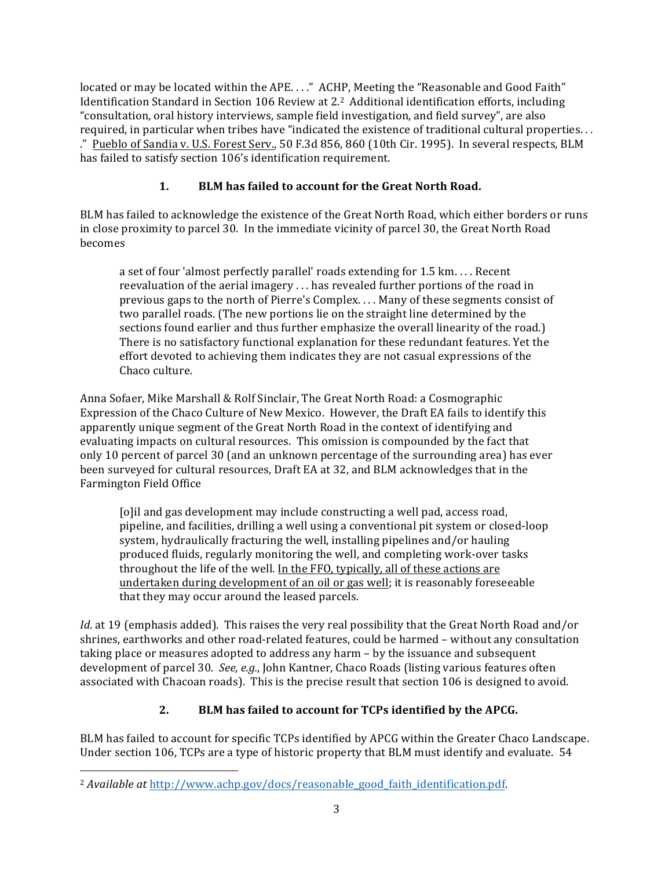located or may be located within the APE...." ACHP, Meeting the "Reasonable and Good Faith" Identification Standard in Section 106 Review at 2.<sup>2</sup> Additional identification efforts, including "consultation, oral history interviews, sample field investigation, and field survey", are also required, in particular when tribes have "indicated the existence of traditional cultural properties. . . ." Pueblo of Sandia v. U.S. Forest Serv., 50 F.3d 856, 860 (10th Cir. 1995). In several respects, BLM has failed to satisfy section 106's identification requirement.

# 1. **BLM** has failed to account for the Great North Road.

BLM has failed to acknowledge the existence of the Great North Road, which either borders or runs in close proximity to parcel 30. In the immediate vicinity of parcel 30, the Great North Road becomes 

a set of four 'almost perfectly parallel' roads extending for 1.5 km.... Recent reevaluation of the aerial imagery  $\dots$  has revealed further portions of the road in previous gaps to the north of Pierre's Complex.  $\dots$  Many of these segments consist of two parallel roads. (The new portions lie on the straight line determined by the sections found earlier and thus further emphasize the overall linearity of the road.) There is no satisfactory functional explanation for these redundant features. Yet the effort devoted to achieving them indicates they are not casual expressions of the Chaco culture.

Anna Sofaer, Mike Marshall & Rolf Sinclair, The Great North Road: a Cosmographic Expression of the Chaco Culture of New Mexico. However, the Draft EA fails to identify this apparently unique segment of the Great North Road in the context of identifying and evaluating impacts on cultural resources. This omission is compounded by the fact that only 10 percent of parcel 30 (and an unknown percentage of the surrounding area) has ever been surveyed for cultural resources, Draft EA at 32, and BLM acknowledges that in the Farmington Field Office

[o]il and gas development may include constructing a well pad, access road, pipeline, and facilities, drilling a well using a conventional pit system or closed-loop system, hydraulically fracturing the well, installing pipelines and/or hauling produced fluids, regularly monitoring the well, and completing work-over tasks throughout the life of the well. In the FFO, typically, all of these actions are undertaken during development of an oil or gas well; it is reasonably foreseeable that they may occur around the leased parcels.

*Id*. at 19 (emphasis added). This raises the very real possibility that the Great North Road and/or shrines, earthworks and other road-related features, could be harmed - without any consultation taking place or measures adopted to address any harm  $-$  by the issuance and subsequent development of parcel 30. *See, e.g.*, John Kantner, Chaco Roads (listing various features often associated with Chacoan roads). This is the precise result that section 106 is designed to avoid.

## **2. BLM** has failed to account for TCPs identified by the APCG.

BLM has failed to account for specific TCPs identified by APCG within the Greater Chaco Landscape. Under section 106, TCPs are a type of historic property that BLM must identify and evaluate. 54

<sup>&</sup>lt;sup>2</sup> Available at http://www.achp.gov/docs/reasonable\_good\_faith\_identification.pdf.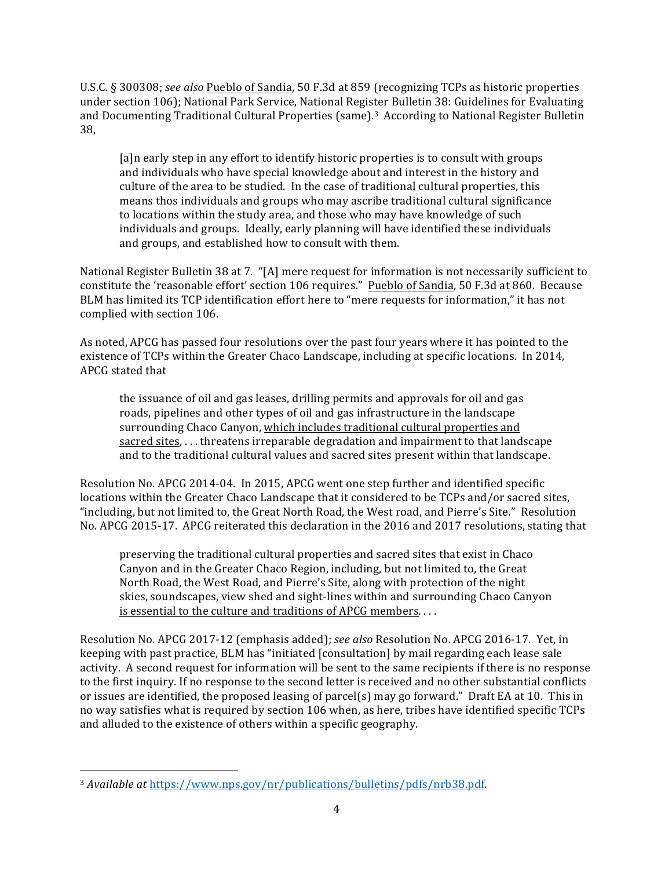U.S.C. § 300308; *see also* Pueblo of Sandia, 50 F.3d at 859 (recognizing TCPs as historic properties under section 106); National Park Service, National Register Bulletin 38: Guidelines for Evaluating and Documenting Traditional Cultural Properties (same).<sup>3</sup> According to National Register Bulletin 38, 

[a]n early step in any effort to identify historic properties is to consult with groups and individuals who have special knowledge about and interest in the history and culture of the area to be studied. In the case of traditional cultural properties, this means thos individuals and groups who may ascribe traditional cultural significance to locations within the study area, and those who may have knowledge of such individuals and groups. Ideally, early planning will have identified these individuals and groups, and established how to consult with them.

National Register Bulletin 38 at 7. "[A] mere request for information is not necessarily sufficient to constitute the 'reasonable effort' section 106 requires." Pueblo of Sandia, 50 F.3d at 860. Because BLM has limited its TCP identification effort here to "mere requests for information," it has not complied with section 106.

As noted, APCG has passed four resolutions over the past four years where it has pointed to the existence of TCPs within the Greater Chaco Landscape, including at specific locations. In 2014, APCG stated that 

the issuance of oil and gas leases, drilling permits and approvals for oil and gas roads, pipelines and other types of oil and gas infrastructure in the landscape surrounding Chaco Canyon, which includes traditional cultural properties and sacred sites,  $\dots$  threatens irreparable degradation and impairment to that landscape and to the traditional cultural values and sacred sites present within that landscape.

Resolution No. APCG 2014-04. In 2015, APCG went one step further and identified specific locations within the Greater Chaco Landscape that it considered to be TCPs and/or sacred sites, "including, but not limited to, the Great North Road, the West road, and Pierre's Site." Resolution No. APCG 2015-17. APCG reiterated this declaration in the 2016 and 2017 resolutions, stating that

preserving the traditional cultural properties and sacred sites that exist in Chaco Canyon and in the Greater Chaco Region, including, but not limited to, the Great North Road, the West Road, and Pierre's Site, along with protection of the night skies, soundscapes, view shed and sight-lines within and surrounding Chaco Canyon is essential to the culture and traditions of APCG members. $\dots$ 

Resolution No. APCG 2017-12 (emphasis added); see also Resolution No. APCG 2016-17. Yet, in keeping with past practice, BLM has "initiated [consultation] by mail regarding each lease sale activity. A second request for information will be sent to the same recipients if there is no response to the first inquiry. If no response to the second letter is received and no other substantial conflicts or issues are identified, the proposed leasing of parcel(s) may go forward." Draft EA at 10. This in no way satisfies what is required by section 106 when, as here, tribes have identified specific TCPs and alluded to the existence of others within a specific geography.

<sup>&</sup>lt;sup>3</sup> Available at https://www.nps.gov/nr/publications/bulletins/pdfs/nrb38.pdf.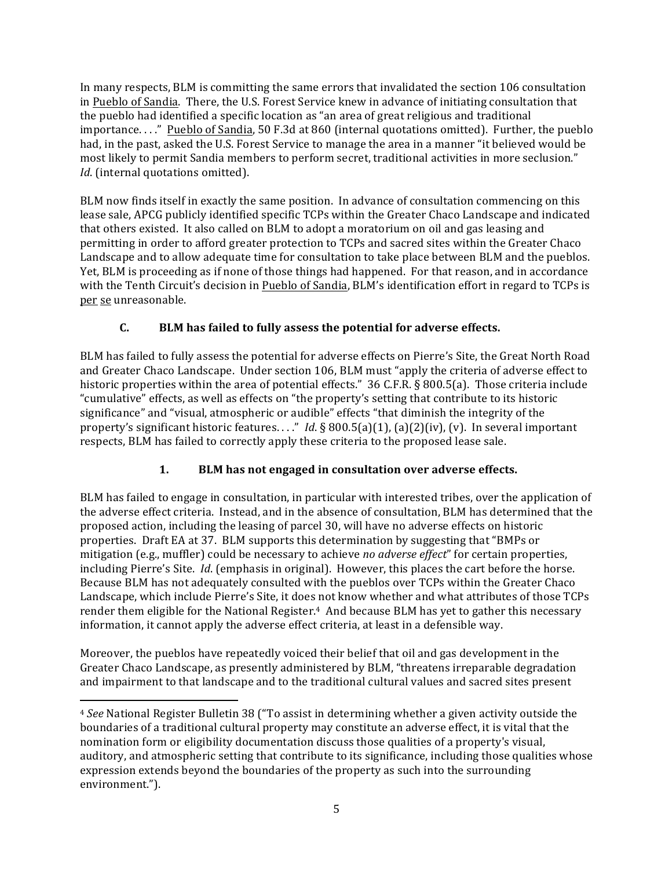In many respects, BLM is committing the same errors that invalidated the section 106 consultation in Pueblo of Sandia. There, the U.S. Forest Service knew in advance of initiating consultation that the pueblo had identified a specific location as "an area of great religious and traditional importance. . . ." Pueblo of Sandia, 50 F.3d at 860 (internal quotations omitted). Further, the pueblo had, in the past, asked the U.S. Forest Service to manage the area in a manner "it believed would be most likely to permit Sandia members to perform secret, traditional activities in more seclusion." *Id.* (internal quotations omitted).

BLM now finds itself in exactly the same position. In advance of consultation commencing on this lease sale, APCG publicly identified specific TCPs within the Greater Chaco Landscape and indicated that others existed. It also called on BLM to adopt a moratorium on oil and gas leasing and permitting in order to afford greater protection to TCPs and sacred sites within the Greater Chaco Landscape and to allow adequate time for consultation to take place between BLM and the pueblos. Yet, BLM is proceeding as if none of those things had happened. For that reason, and in accordance with the Tenth Circuit's decision in Pueblo of Sandia, BLM's identification effort in regard to TCPs is per se unreasonable. 

## **C. BLM** has failed to fully assess the potential for adverse effects.

BLM has failed to fully assess the potential for adverse effects on Pierre's Site, the Great North Road and Greater Chaco Landscape. Under section 106, BLM must "apply the criteria of adverse effect to historic properties within the area of potential effects."  $36$  C.F.R. § 800.5(a). Those criteria include "cumulative" effects, as well as effects on "the property's setting that contribute to its historic significance" and "visual, atmospheric or audible" effects "that diminish the integrity of the property's significant historic features. . . ." *Id*. § 800.5(a)(1), (a)(2)(iv), (v). In several important respects, BLM has failed to correctly apply these criteria to the proposed lease sale.

## 1. **BLM** has not engaged in consultation over adverse effects.

BLM has failed to engage in consultation, in particular with interested tribes, over the application of the adverse effect criteria. Instead, and in the absence of consultation, BLM has determined that the proposed action, including the leasing of parcel 30, will have no adverse effects on historic properties. Draft EA at 37. BLM supports this determination by suggesting that "BMPs or mitigation (e.g., muffler) could be necessary to achieve *no adverse effect*" for certain properties, including Pierre's Site. *Id*. (emphasis in original). However, this places the cart before the horse. Because BLM has not adequately consulted with the pueblos over TCPs within the Greater Chaco Landscape, which include Pierre's Site, it does not know whether and what attributes of those TCPs render them eligible for the National Register.<sup>4</sup> And because BLM has yet to gather this necessary information, it cannot apply the adverse effect criteria, at least in a defensible way.

Moreover, the pueblos have repeatedly voiced their belief that oil and gas development in the Greater Chaco Landscape, as presently administered by BLM, "threatens irreparable degradation and impairment to that landscape and to the traditional cultural values and sacred sites present

<sup>&</sup>lt;sup>4</sup> See National Register Bulletin 38 ("To assist in determining whether a given activity outside the boundaries of a traditional cultural property may constitute an adverse effect, it is vital that the nomination form or eligibility documentation discuss those qualities of a property's visual, auditory, and atmospheric setting that contribute to its significance, including those qualities whose expression extends beyond the boundaries of the property as such into the surrounding environment.").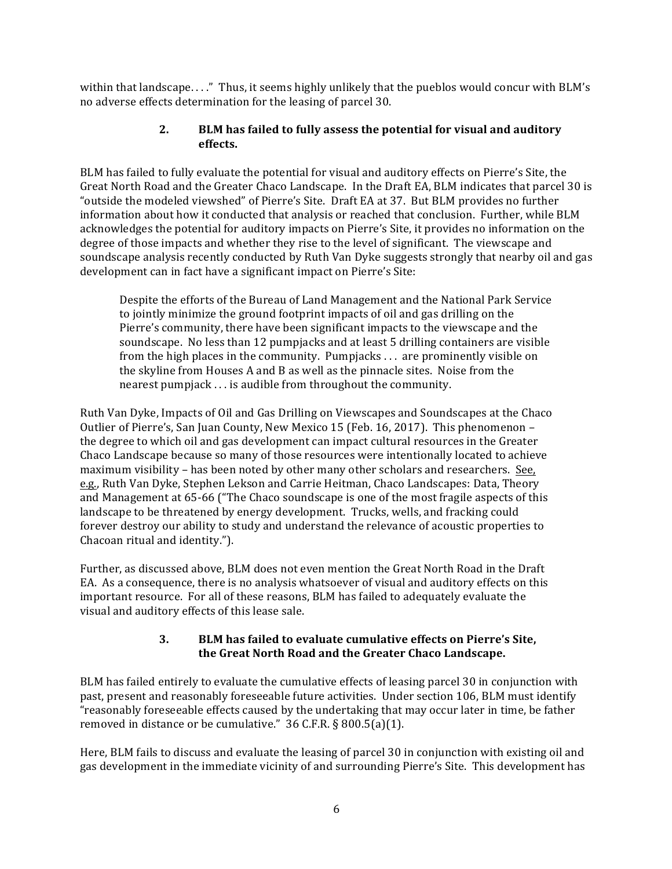within that landscape...." Thus, it seems highly unlikely that the pueblos would concur with BLM's no adverse effects determination for the leasing of parcel 30.

### **2. BLM** has failed to fully assess the potential for visual and auditory **effects.**

BLM has failed to fully evaluate the potential for visual and auditory effects on Pierre's Site, the Great North Road and the Greater Chaco Landscape. In the Draft EA, BLM indicates that parcel 30 is "outside the modeled viewshed" of Pierre's Site. Draft EA at 37. But BLM provides no further information about how it conducted that analysis or reached that conclusion. Further, while BLM acknowledges the potential for auditory impacts on Pierre's Site, it provides no information on the degree of those impacts and whether they rise to the level of significant. The viewscape and soundscape analysis recently conducted by Ruth Van Dyke suggests strongly that nearby oil and gas development can in fact have a significant impact on Pierre's Site:

Despite the efforts of the Bureau of Land Management and the National Park Service to jointly minimize the ground footprint impacts of oil and gas drilling on the Pierre's community, there have been significant impacts to the viewscape and the soundscape. No less than 12 pumpjacks and at least 5 drilling containers are visible from the high places in the community. Pumpjacks . . . are prominently visible on the skyline from Houses A and B as well as the pinnacle sites. Noise from the nearest pumpjack  $\ldots$  is audible from throughout the community.

Ruth Van Dyke, Impacts of Oil and Gas Drilling on Viewscapes and Soundscapes at the Chaco Outlier of Pierre's, San Juan County, New Mexico 15 (Feb. 16, 2017). This phenomenon – the degree to which oil and gas development can impact cultural resources in the Greater Chaco Landscape because so many of those resources were intentionally located to achieve maximum visibility – has been noted by other many other scholars and researchers. See, e.g., Ruth Van Dyke, Stephen Lekson and Carrie Heitman, Chaco Landscapes: Data, Theory and Management at 65-66 ("The Chaco soundscape is one of the most fragile aspects of this landscape to be threatened by energy development. Trucks, wells, and fracking could forever destroy our ability to study and understand the relevance of acoustic properties to Chacoan ritual and identity.").

Further, as discussed above, BLM does not even mention the Great North Road in the Draft EA. As a consequence, there is no analysis whatsoever of visual and auditory effects on this important resource. For all of these reasons, BLM has failed to adequately evaluate the visual and auditory effects of this lease sale.

#### **3. BLM** has failed to evaluate cumulative effects on Pierre's Site, the Great North Road and the Greater Chaco Landscape.

BLM has failed entirely to evaluate the cumulative effects of leasing parcel 30 in conjunction with past, present and reasonably foreseeable future activities. Under section 106, BLM must identify "reasonably foreseeable effects caused by the undertaking that may occur later in time, be father removed in distance or be cumulative."  $36$  C.F.R. §  $800.5(a)(1)$ .

Here, BLM fails to discuss and evaluate the leasing of parcel 30 in conjunction with existing oil and gas development in the immediate vicinity of and surrounding Pierre's Site. This development has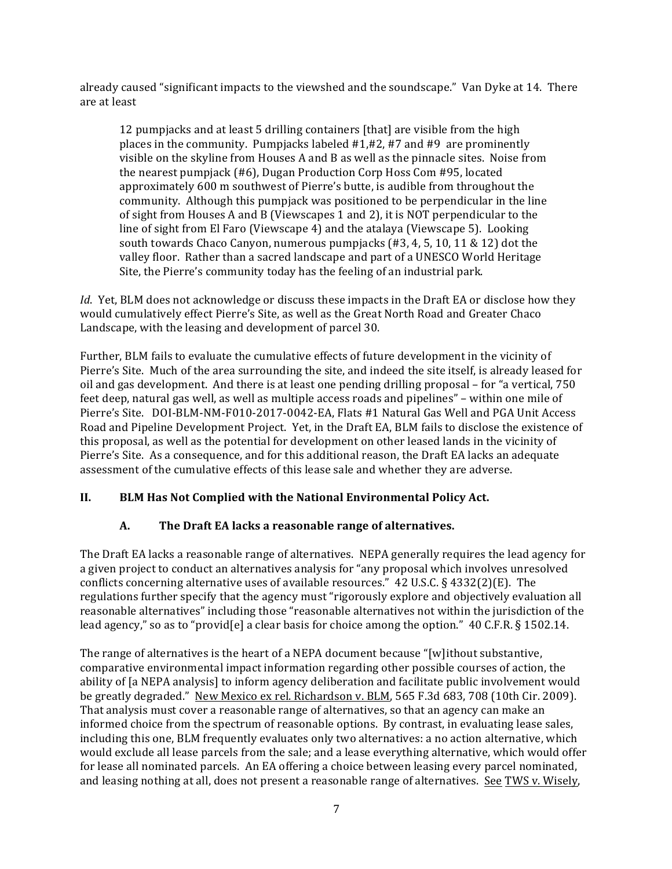already caused "significant impacts to the viewshed and the soundscape." Van Dyke at 14. There are at least 

12 pumpjacks and at least 5 drilling containers [that] are visible from the high places in the community. Pumpjacks labeled  $#1,#2,#7$  and  $#9$  are prominently visible on the skyline from Houses A and B as well as the pinnacle sites. Noise from the nearest pumpjack  $(\#6)$ , Dugan Production Corp Hoss Com  $\#95$ , located approximately 600 m southwest of Pierre's butte, is audible from throughout the community. Although this pumpjack was positioned to be perpendicular in the line of sight from Houses A and B (Viewscapes 1 and 2), it is NOT perpendicular to the line of sight from El Faro (Viewscape 4) and the atalaya (Viewscape 5). Looking south towards Chaco Canyon, numerous pumpjacks  $(#3, 4, 5, 10, 11 \& 12)$  dot the valley floor. Rather than a sacred landscape and part of a UNESCO World Heritage Site, the Pierre's community today has the feeling of an industrial park.

*Id.* Yet, BLM does not acknowledge or discuss these impacts in the Draft EA or disclose how they would cumulatively effect Pierre's Site, as well as the Great North Road and Greater Chaco Landscape, with the leasing and development of parcel 30.

Further, BLM fails to evaluate the cumulative effects of future development in the vicinity of Pierre's Site. Much of the area surrounding the site, and indeed the site itself, is already leased for oil and gas development. And there is at least one pending drilling proposal – for "a vertical, 750 feet deep, natural gas well, as well as multiple access roads and pipelines" - within one mile of Pierre's Site. DOI-BLM-NM-F010-2017-0042-EA, Flats #1 Natural Gas Well and PGA Unit Access Road and Pipeline Development Project. Yet, in the Draft EA, BLM fails to disclose the existence of this proposal, as well as the potential for development on other leased lands in the vicinity of Pierre's Site. As a consequence, and for this additional reason, the Draft EA lacks an adequate assessment of the cumulative effects of this lease sale and whether they are adverse.

#### II. BLM Has Not Complied with the National Environmental Policy Act.

#### A. The Draft EA lacks a reasonable range of alternatives.

The Draft EA lacks a reasonable range of alternatives. NEPA generally requires the lead agency for a given project to conduct an alternatives analysis for "any proposal which involves unresolved conflicts concerning alternative uses of available resources."  $42 \text{ U.S.C.}$  §  $4332(2)(E)$ . The regulations further specify that the agency must "rigorously explore and objectively evaluation all reasonable alternatives" including those "reasonable alternatives not within the jurisdiction of the lead agency," so as to "provid[e] a clear basis for choice among the option."  $40$  C.F.R. § 1502.14.

The range of alternatives is the heart of a NEPA document because "[w]ithout substantive, comparative environmental impact information regarding other possible courses of action, the ability of [a NEPA analysis] to inform agency deliberation and facilitate public involvement would be greatly degraded." New Mexico ex rel. Richardson v. BLM,  $565$  F.3d  $683$ , 708 (10th Cir. 2009). That analysis must cover a reasonable range of alternatives, so that an agency can make an informed choice from the spectrum of reasonable options. By contrast, in evaluating lease sales, including this one, BLM frequently evaluates only two alternatives: a no action alternative, which would exclude all lease parcels from the sale; and a lease everything alternative, which would offer for lease all nominated parcels. An EA offering a choice between leasing every parcel nominated, and leasing nothing at all, does not present a reasonable range of alternatives. See TWS v. Wisely,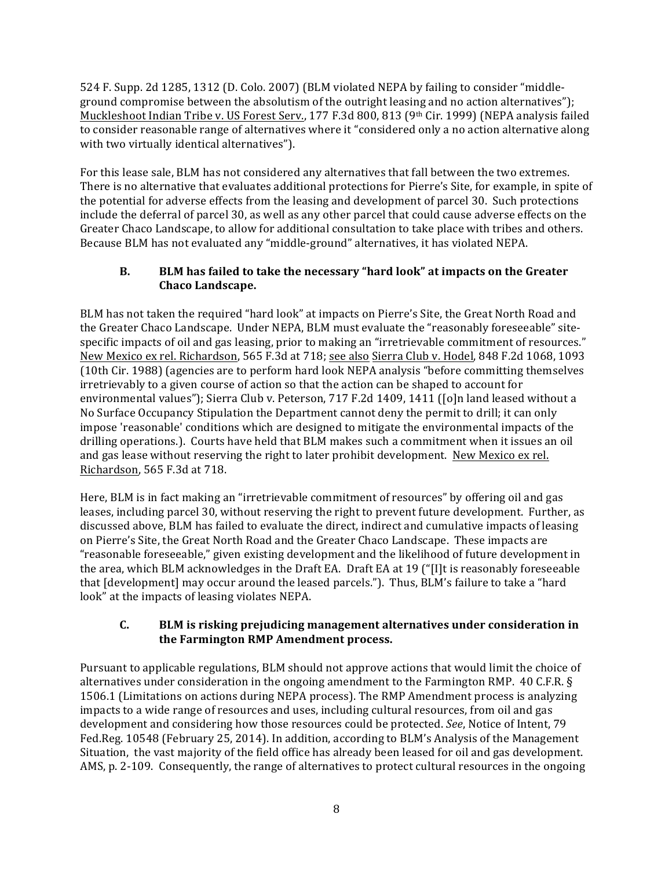524 F. Supp. 2d 1285, 1312 (D. Colo. 2007) (BLM violated NEPA by failing to consider "middleground compromise between the absolutism of the outright leasing and no action alternatives"); Muckleshoot Indian Tribe v. US Forest Serv., 177 F.3d 800, 813 (9<sup>th</sup> Cir. 1999) (NEPA analysis failed to consider reasonable range of alternatives where it "considered only a no action alternative along with two virtually identical alternatives").

For this lease sale, BLM has not considered any alternatives that fall between the two extremes. There is no alternative that evaluates additional protections for Pierre's Site, for example, in spite of the potential for adverse effects from the leasing and development of parcel 30. Such protections include the deferral of parcel 30, as well as any other parcel that could cause adverse effects on the Greater Chaco Landscape, to allow for additional consultation to take place with tribes and others. Because BLM has not evaluated any "middle-ground" alternatives, it has violated NEPA.

### **B. BLM** has failed to take the necessary "hard look" at impacts on the Greater **Chaco Landscape.**

BLM has not taken the required "hard look" at impacts on Pierre's Site, the Great North Road and the Greater Chaco Landscape. Under NEPA, BLM must evaluate the "reasonably foreseeable" sitespecific impacts of oil and gas leasing, prior to making an "irretrievable commitment of resources." New Mexico ex rel. Richardson, 565 F.3d at 718; see also Sierra Club v. Hodel, 848 F.2d 1068, 1093 (10th Cir. 1988) (agencies are to perform hard look NEPA analysis "before committing themselves irretrievably to a given course of action so that the action can be shaped to account for environmental values"); Sierra Club v. Peterson, 717 F.2d 1409, 1411 ([o]n land leased without a No Surface Occupancy Stipulation the Department cannot deny the permit to drill; it can only impose 'reasonable' conditions which are designed to mitigate the environmental impacts of the drilling operations.). Courts have held that BLM makes such a commitment when it issues an oil and gas lease without reserving the right to later prohibit development. New Mexico ex rel. Richardson, 565 F.3d at 718.

Here, BLM is in fact making an "irretrievable commitment of resources" by offering oil and gas leases, including parcel 30, without reserving the right to prevent future development. Further, as discussed above, BLM has failed to evaluate the direct, indirect and cumulative impacts of leasing on Pierre's Site, the Great North Road and the Greater Chaco Landscape. These impacts are "reasonable foreseeable," given existing development and the likelihood of future development in the area, which BLM acknowledges in the Draft EA. Draft EA at  $19$  ("[I]t is reasonably foreseeable that  $\lceil$  development $\lceil$  may occur around the leased parcels."). Thus, BLM's failure to take a "hard look" at the impacts of leasing violates NEPA.

## **C. BLM** is risking prejudicing management alternatives under consideration in the Farmington RMP Amendment process.

Pursuant to applicable regulations, BLM should not approve actions that would limit the choice of alternatives under consideration in the ongoing amendment to the Farmington RMP. 40 C.F.R.  $\S$ 1506.1 (Limitations on actions during NEPA process). The RMP Amendment process is analyzing impacts to a wide range of resources and uses, including cultural resources, from oil and gas development and considering how those resources could be protected. See, Notice of Intent, 79 Fed.Reg. 10548 (February 25, 2014). In addition, according to BLM's Analysis of the Management Situation, the vast majority of the field office has already been leased for oil and gas development. AMS, p. 2-109. Consequently, the range of alternatives to protect cultural resources in the ongoing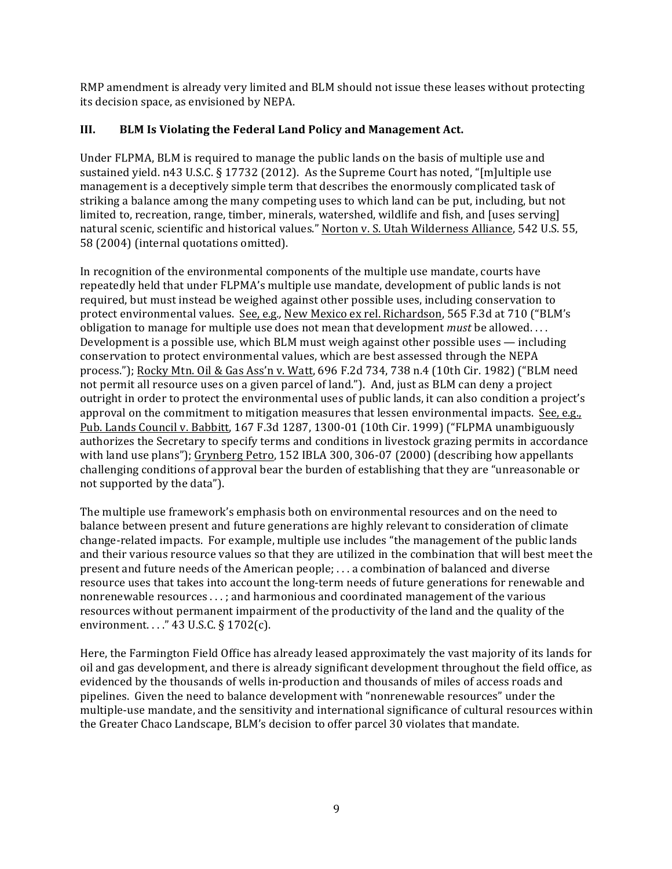RMP amendment is already very limited and BLM should not issue these leases without protecting its decision space, as envisioned by NEPA.

## **III. BLM** Is Violating the Federal Land Policy and Management Act.

Under FLPMA, BLM is required to manage the public lands on the basis of multiple use and sustained yield.  $n43$  U.S.C. § 17732 (2012). As the Supreme Court has noted, "[m]ultiple use management is a deceptively simple term that describes the enormously complicated task of striking a balance among the many competing uses to which land can be put, including, but not limited to, recreation, range, timber, minerals, watershed, wildlife and fish, and [uses serving] natural scenic, scientific and historical values." Norton v. S. Utah Wilderness Alliance, 542 U.S. 55, 58 (2004) (internal quotations omitted).

In recognition of the environmental components of the multiple use mandate, courts have repeatedly held that under FLPMA's multiple use mandate, development of public lands is not required, but must instead be weighed against other possible uses, including conservation to protect environmental values. See, e.g., New Mexico ex rel. Richardson, 565 F.3d at 710 ("BLM's obligation to manage for multiple use does not mean that development *must* be allowed.... Development is a possible use, which BLM must weigh against other possible uses  $-$  including conservation to protect environmental values, which are best assessed through the NEPA process."); Rocky Mtn. Oil & Gas Ass'n v. Watt,  $696$  F.2d  $734$ ,  $738$  n.4 (10th Cir. 1982) ("BLM need not permit all resource uses on a given parcel of land."). And, just as BLM can deny a project outright in order to protect the environmental uses of public lands, it can also condition a project's approval on the commitment to mitigation measures that lessen environmental impacts. See, e.g., Pub. Lands Council v. Babbitt, 167 F.3d 1287, 1300-01 (10th Cir. 1999) ("FLPMA unambiguously authorizes the Secretary to specify terms and conditions in livestock grazing permits in accordance with land use plans"); Grynberg Petro, 152 IBLA 300, 306-07 (2000) (describing how appellants challenging conditions of approval bear the burden of establishing that they are "unreasonable or not supported by the data").

The multiple use framework's emphasis both on environmental resources and on the need to balance between present and future generations are highly relevant to consideration of climate change-related impacts. For example, multiple use includes "the management of the public lands and their various resource values so that they are utilized in the combination that will best meet the present and future needs of the American people;  $\dots$  a combination of balanced and diverse resource uses that takes into account the long-term needs of future generations for renewable and nonrenewable resources  $\ldots$ ; and harmonious and coordinated management of the various resources without permanent impairment of the productivity of the land and the quality of the environment. . . ." 43 U.S.C. § 1702(c).

Here, the Farmington Field Office has already leased approximately the vast majority of its lands for oil and gas development, and there is already significant development throughout the field office, as evidenced by the thousands of wells in-production and thousands of miles of access roads and pipelines. Given the need to balance development with "nonrenewable resources" under the multiple-use mandate, and the sensitivity and international significance of cultural resources within the Greater Chaco Landscape, BLM's decision to offer parcel 30 violates that mandate.